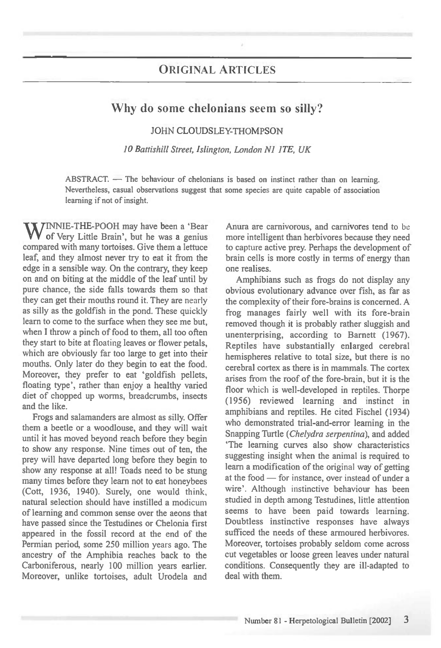## ORIGINAL ARTICLES

## **Why do some chelonians seem so silly?**

JOHN CLOUDSLEY-THOMPSON

*10 Battishill Street, Islington, London N1 1TE, UK* 

ABSTRACT. — The behaviour of chelonians is based on instinct rather than on learning. Nevertheless, casual observations suggest that some species are quite capable of association learning if not of insight.

WINNIE-THE-POOH may have been a 'Bear of Very Little Brain', but he was a genius compared with many tortoises. Give them a lettuce leaf, and they almost never try to eat it from the edge in a sensible way. On the contrary, they keep on and on biting at the middle of the leaf until by pure chance, the side falls towards them so that they can get their mouths round it. They are nearly as silly as the goldfish in the pond. These quickly learn to come to the surface when they see me but, when I throw a pinch of food to them, all too often they start to bite at floating leaves or flower petals, which are obviously far too large to get into their mouths. Only later do they begin to eat the food. Moreover, they prefer to eat 'goldfish pellets, floating type', rather than enjoy a healthy varied diet of chopped up worms, breadcrumbs, insects and the like.

Frogs and salamanders are almost as silly. Offer them a beetle or a woodlouse, and they will wait until it has moved beyond reach before they begin to show any response. Nine times out of ten, the prey will have departed long before they begin to show any response at all! Toads need to be stung many times before they learn not to eat honeybees (Cott, 1936, 1940). Surely, one would think, natural selection should have instilled a modicum of learning and common sense over the aeons that have passed since the Testudines or Chelonia first appeared in the fossil record at the end of the Permian period, some 250 million years ago. The ancestry of the Amphibia reaches back to the Carboniferous, nearly 100 million years earlier. Moreover, unlike tortoises, adult Urodela and

Anura are carnivorous, and carnivores tend to be more intelligent than herbivores because they need to capture active prey. Perhaps the development of brain cells is more costly in terms of energy than one realises.

Amphibians such as frogs do not display any obvious evolutionary advance over fish, as far as the complexity of their fore-brains is concerned. A frog manages fairly well with its fore-brain removed though it is probably rather sluggish and unenterprising, according to Barnett (1967). Reptiles have substantially enlarged cerebral hemispheres relative to total size, but there is no cerebral cortex as there is in mammals. The cortex arises from the roof of the fore-brain, but it is the floor which is well-developed in reptiles. Thorpe (1956) reviewed learning and instinct in amphibians and reptiles. He cited Fischel (1934) who demonstrated trial-and-error learning in the Snapping Turtle *(Chelydra sementina),* and added `The learning curves also show characteristics suggesting insight when the animal is required to learn a modification of the original way of getting at the food — for instance, over instead of under a wire'. Although instinctive behaviour has been studied in depth among Testudines, little attention seems to have been paid towards learning. Doubtless instinctive responses have always sufficed the needs of these armoured herbivores. Moreover, tortoises probably seldom come across cut vegetables or loose green leaves under natural conditions. Consequently they are ill-adapted to deal with them.